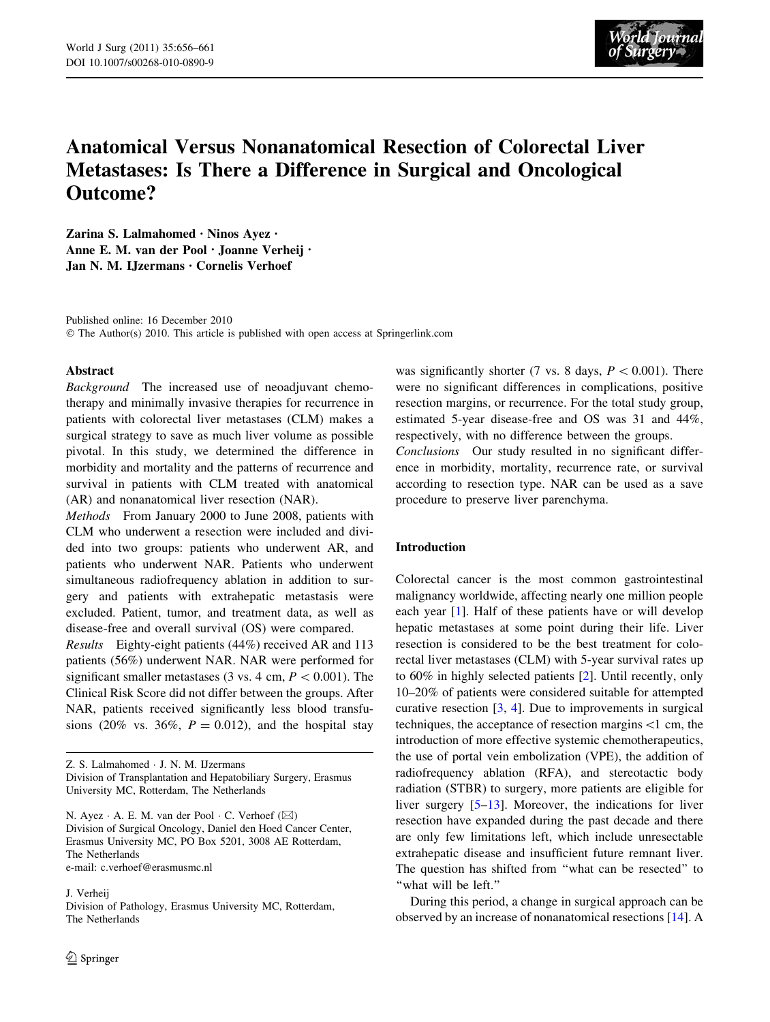

# Anatomical Versus Nonanatomical Resection of Colorectal Liver Metastases: Is There a Difference in Surgical and Oncological Outcome?

Zarina S. Lalmahomed • Ninos Ayez • Anne E. M. van der Pool • Joanne Verheij • Jan N. M. IJzermans • Cornelis Verhoef

Published online: 16 December 2010 © The Author(s) 2010. This article is published with open access at Springerlink.com

## Abstract

Background The increased use of neoadjuvant chemotherapy and minimally invasive therapies for recurrence in patients with colorectal liver metastases (CLM) makes a surgical strategy to save as much liver volume as possible pivotal. In this study, we determined the difference in morbidity and mortality and the patterns of recurrence and survival in patients with CLM treated with anatomical (AR) and nonanatomical liver resection (NAR).

Methods From January 2000 to June 2008, patients with CLM who underwent a resection were included and divided into two groups: patients who underwent AR, and patients who underwent NAR. Patients who underwent simultaneous radiofrequency ablation in addition to surgery and patients with extrahepatic metastasis were excluded. Patient, tumor, and treatment data, as well as disease-free and overall survival (OS) were compared.

Results Eighty-eight patients (44%) received AR and 113 patients (56%) underwent NAR. NAR were performed for significant smaller metastases (3 vs. 4 cm,  $P \lt 0.001$ ). The Clinical Risk Score did not differ between the groups. After NAR, patients received significantly less blood transfusions (20% vs. 36%,  $P = 0.012$ ), and the hospital stay

Z. S. Lalmahomed - J. N. M. IJzermans

Division of Transplantation and Hepatobiliary Surgery, Erasmus University MC, Rotterdam, The Netherlands

N. Ayez  $\cdot$  A. E. M. van der Pool  $\cdot$  C. Verhoef ( $\boxtimes$ ) Division of Surgical Oncology, Daniel den Hoed Cancer Center, Erasmus University MC, PO Box 5201, 3008 AE Rotterdam, The Netherlands e-mail: c.verhoef@erasmusmc.nl

J. Verheij Division of Pathology, Erasmus University MC, Rotterdam, The Netherlands

was significantly shorter (7 vs. 8 days,  $P \lt 0.001$ ). There were no significant differences in complications, positive resection margins, or recurrence. For the total study group, estimated 5-year disease-free and OS was 31 and 44%, respectively, with no difference between the groups. Conclusions Our study resulted in no significant difference in morbidity, mortality, recurrence rate, or survival according to resection type. NAR can be used as a save procedure to preserve liver parenchyma.

# **Introduction**

Colorectal cancer is the most common gastrointestinal malignancy worldwide, affecting nearly one million people each year [\[1](#page-4-0)]. Half of these patients have or will develop hepatic metastases at some point during their life. Liver resection is considered to be the best treatment for colorectal liver metastases (CLM) with 5-year survival rates up to 60% in highly selected patients [[2\]](#page-4-0). Until recently, only 10–20% of patients were considered suitable for attempted curative resection [[3,](#page-4-0) [4](#page-4-0)]. Due to improvements in surgical techniques, the acceptance of resection margins  $\leq 1$  cm, the introduction of more effective systemic chemotherapeutics, the use of portal vein embolization (VPE), the addition of radiofrequency ablation (RFA), and stereotactic body radiation (STBR) to surgery, more patients are eligible for liver surgery [\[5–13](#page-4-0)]. Moreover, the indications for liver resection have expanded during the past decade and there are only few limitations left, which include unresectable extrahepatic disease and insufficient future remnant liver. The question has shifted from ''what can be resected'' to ''what will be left.''

During this period, a change in surgical approach can be observed by an increase of nonanatomical resections [\[14](#page-5-0)]. A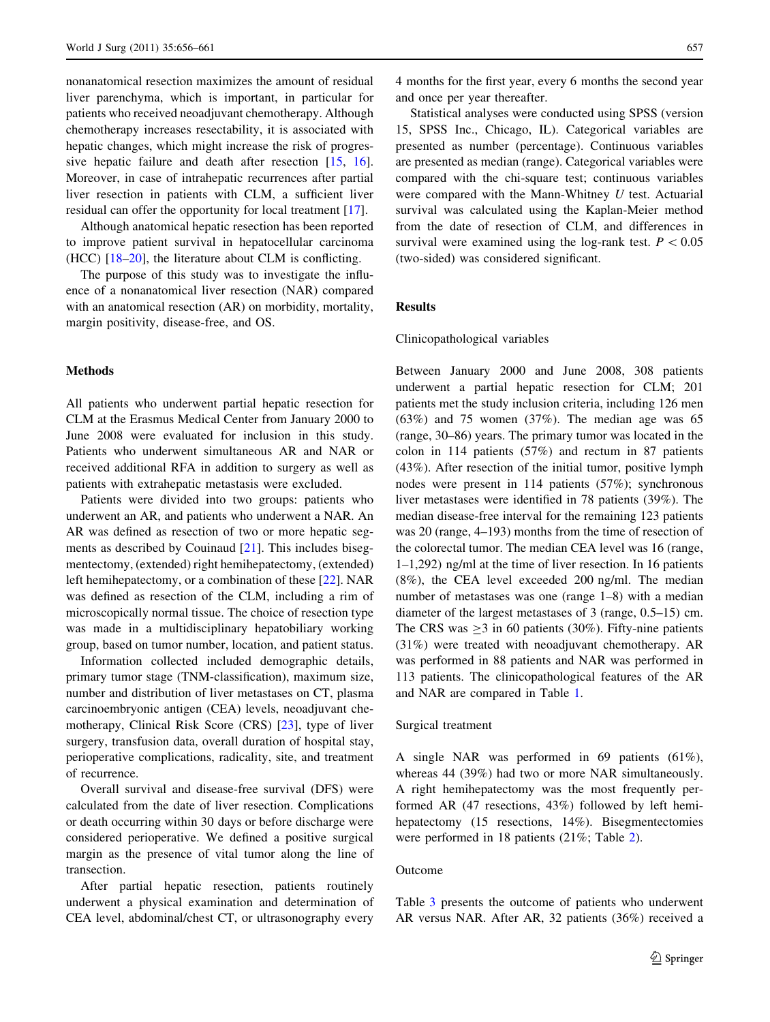nonanatomical resection maximizes the amount of residual liver parenchyma, which is important, in particular for patients who received neoadjuvant chemotherapy. Although chemotherapy increases resectability, it is associated with hepatic changes, which might increase the risk of progres-sive hepatic failure and death after resection [\[15](#page-5-0), [16](#page-5-0)]. Moreover, in case of intrahepatic recurrences after partial liver resection in patients with CLM, a sufficient liver residual can offer the opportunity for local treatment [\[17](#page-5-0)].

Although anatomical hepatic resection has been reported to improve patient survival in hepatocellular carcinoma (HCC) [[18–20\]](#page-5-0), the literature about CLM is conflicting.

The purpose of this study was to investigate the influence of a nonanatomical liver resection (NAR) compared with an anatomical resection (AR) on morbidity, mortality, margin positivity, disease-free, and OS.

## Methods

All patients who underwent partial hepatic resection for CLM at the Erasmus Medical Center from January 2000 to June 2008 were evaluated for inclusion in this study. Patients who underwent simultaneous AR and NAR or received additional RFA in addition to surgery as well as patients with extrahepatic metastasis were excluded.

Patients were divided into two groups: patients who underwent an AR, and patients who underwent a NAR. An AR was defined as resection of two or more hepatic segments as described by Couinaud [[21\]](#page-5-0). This includes bisegmentectomy, (extended) right hemihepatectomy, (extended) left hemihepatectomy, or a combination of these [[22\]](#page-5-0). NAR was defined as resection of the CLM, including a rim of microscopically normal tissue. The choice of resection type was made in a multidisciplinary hepatobiliary working group, based on tumor number, location, and patient status.

Information collected included demographic details, primary tumor stage (TNM-classification), maximum size, number and distribution of liver metastases on CT, plasma carcinoembryonic antigen (CEA) levels, neoadjuvant chemotherapy, Clinical Risk Score (CRS) [[23\]](#page-5-0), type of liver surgery, transfusion data, overall duration of hospital stay, perioperative complications, radicality, site, and treatment of recurrence.

Overall survival and disease-free survival (DFS) were calculated from the date of liver resection. Complications or death occurring within 30 days or before discharge were considered perioperative. We defined a positive surgical margin as the presence of vital tumor along the line of transection.

After partial hepatic resection, patients routinely underwent a physical examination and determination of CEA level, abdominal/chest CT, or ultrasonography every

4 months for the first year, every 6 months the second year and once per year thereafter.

Statistical analyses were conducted using SPSS (version 15, SPSS Inc., Chicago, IL). Categorical variables are presented as number (percentage). Continuous variables are presented as median (range). Categorical variables were compared with the chi-square test; continuous variables were compared with the Mann-Whitney U test. Actuarial survival was calculated using the Kaplan-Meier method from the date of resection of CLM, and differences in survival were examined using the log-rank test.  $P < 0.05$ (two-sided) was considered significant.

## **Results**

#### Clinicopathological variables

Between January 2000 and June 2008, 308 patients underwent a partial hepatic resection for CLM; 201 patients met the study inclusion criteria, including 126 men  $(63\%)$  and 75 women  $(37\%)$ . The median age was 65 (range, 30–86) years. The primary tumor was located in the colon in 114 patients (57%) and rectum in 87 patients (43%). After resection of the initial tumor, positive lymph nodes were present in 114 patients (57%); synchronous liver metastases were identified in 78 patients (39%). The median disease-free interval for the remaining 123 patients was 20 (range, 4–193) months from the time of resection of the colorectal tumor. The median CEA level was 16 (range, 1–1,292) ng/ml at the time of liver resection. In 16 patients (8%), the CEA level exceeded 200 ng/ml. The median number of metastases was one (range 1–8) with a median diameter of the largest metastases of 3 (range, 0.5–15) cm. The CRS was  $\geq$ 3 in 60 patients (30%). Fifty-nine patients (31%) were treated with neoadjuvant chemotherapy. AR was performed in 88 patients and NAR was performed in 113 patients. The clinicopathological features of the AR and NAR are compared in Table [1.](#page-2-0)

## Surgical treatment

A single NAR was performed in 69 patients (61%), whereas 44 (39%) had two or more NAR simultaneously. A right hemihepatectomy was the most frequently performed AR (47 resections, 43%) followed by left hemihepatectomy (15 resections, 14%). Bisegmentectomies were performed in 18 patients (21%; Table [2\)](#page-2-0).

# Outcome

Table [3](#page-2-0) presents the outcome of patients who underwent AR versus NAR. After AR, 32 patients (36%) received a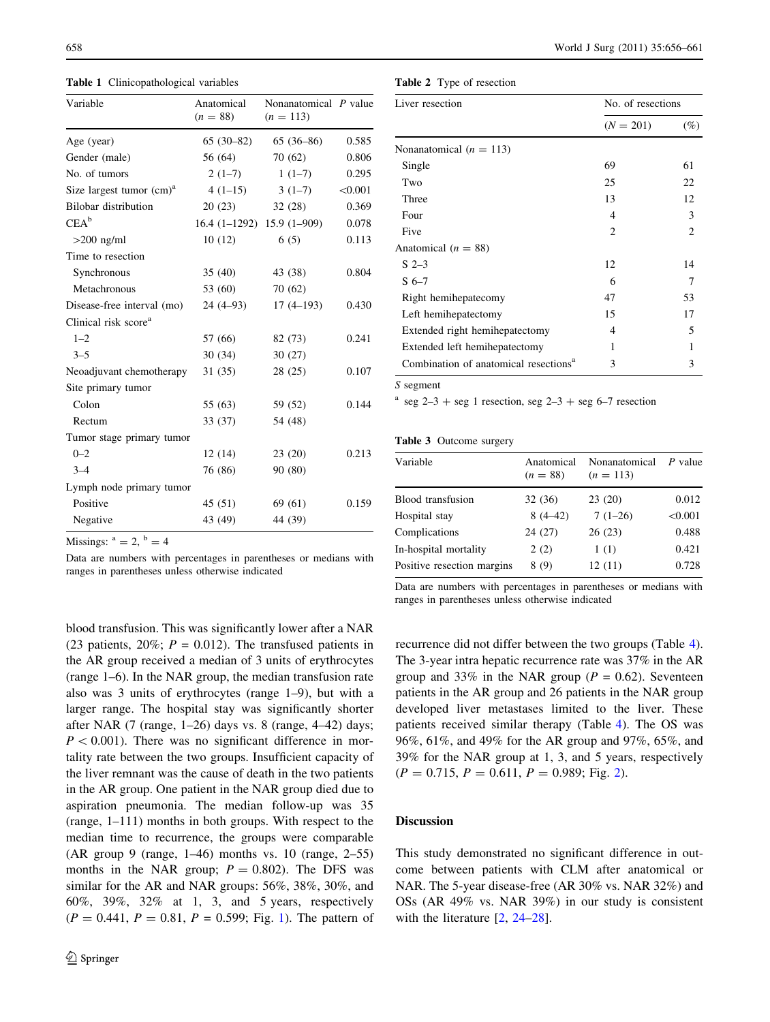| Variable                         | Anatomical<br>$(n = 88)$           | Nonanatomical $P$ value<br>$(n = 113)$ |         |
|----------------------------------|------------------------------------|----------------------------------------|---------|
| Age (year)                       | $65(30-82)$                        | $65(36-86)$                            | 0.585   |
| Gender (male)                    | 56 (64)                            | 70 (62)                                | 0.806   |
| No. of tumors                    | $2(1-7)$                           | $1(1-7)$                               | 0.295   |
| Size largest tumor $(cm)^a$      | $4(1-15)$                          | $3(1-7)$                               | < 0.001 |
| <b>Bilobar</b> distribution      | 20(23)                             | 32(28)                                 | 0.369   |
| CEA <sup>b</sup>                 | $16.4$ $(1-1292)$ $15.9$ $(1-909)$ |                                        | 0.078   |
| $>200$ ng/ml                     | 10(12)                             | 6(5)                                   | 0.113   |
| Time to resection                |                                    |                                        |         |
| Synchronous                      | 35(40)                             | 43 (38)                                | 0.804   |
| Metachronous                     | 53 (60)                            | 70 (62)                                |         |
| Disease-free interval (mo)       | $24(4-93)$                         | $17(4-193)$                            | 0.430   |
| Clinical risk score <sup>a</sup> |                                    |                                        |         |
| $1 - 2$                          | 57 (66)                            | 82 (73)                                | 0.241   |
| $3 - 5$                          | 30(34)                             | 30(27)                                 |         |
| Neoadjuvant chemotherapy         | 31(35)                             | 28(25)                                 | 0.107   |
| Site primary tumor               |                                    |                                        |         |
| Colon                            | 55 (63)                            | 59 (52)                                | 0.144   |
| Rectum                           | 33 (37)                            | 54 (48)                                |         |
| Tumor stage primary tumor        |                                    |                                        |         |
| $0 - 2$                          | 12(14)                             | 23(20)                                 | 0.213   |
| $3 - 4$                          | 76 (86)                            | 90 (80)                                |         |
| Lymph node primary tumor         |                                    |                                        |         |
| Positive                         | 45 (51)                            | 69 (61)                                | 0.159   |
| Negative                         | 43 (49)                            | 44 (39)                                |         |

<span id="page-2-0"></span>Table 1 Clinicopathological variables

Table 2 Type of resection

| Liver resection                                   | No. of resections |               |
|---------------------------------------------------|-------------------|---------------|
|                                                   | $(N = 201)$       | $(\%)$        |
| Nonanatomical ( $n = 113$ )                       |                   |               |
| Single                                            | 69                | 61            |
| Two                                               | 25                | 22            |
| Three                                             | 13                | 12            |
| Four                                              | $\overline{4}$    | 3             |
| Five                                              | $\overline{c}$    | $\mathcal{L}$ |
| Anatomical ( $n = 88$ )                           |                   |               |
| $S$ 2-3                                           | 12                | 14            |
| $S6-7$                                            | 6                 | 7             |
| Right hemihepatecomy                              | 47                | 53            |
| Left hemihepatectomy                              | 15                | 17            |
| Extended right hemihepatectomy                    | 4                 | 5             |
| Extended left hemihepatectomy                     | 1                 | 1             |
| Combination of anatomical resections <sup>a</sup> | 3                 | 3             |

S segment

<sup>a</sup> seg 2–3 + seg 1 resection, seg 2–3 + seg 6–7 resection

|  | Table 3 Outcome surgery |  |
|--|-------------------------|--|
|--|-------------------------|--|

| Variable                   | Anatomical<br>$(n = 88)$ | Nonanatomical<br>$(n = 113)$ | P value |
|----------------------------|--------------------------|------------------------------|---------|
| Blood transfusion          | 32 (36)                  | 23(20)                       | 0.012   |
| Hospital stay              | $8(4-42)$                | $7(1-26)$                    | < 0.001 |
| Complications              | 24 (27)                  | 26(23)                       | 0.488   |
| In-hospital mortality      | 2(2)                     | 1(1)                         | 0.421   |
| Positive resection margins | 8(9)                     | 12(11)                       | 0.728   |

Data are numbers with percentages in parentheses or medians with ranges in parentheses unless otherwise indicated

blood transfusion. This was significantly lower after a NAR (23 patients, 20%;  $P = 0.012$ ). The transfused patients in the AR group received a median of 3 units of erythrocytes (range 1–6). In the NAR group, the median transfusion rate also was 3 units of erythrocytes (range 1–9), but with a larger range. The hospital stay was significantly shorter after NAR (7 (range, 1–26) days vs. 8 (range, 4–42) days;  $P < 0.001$ ). There was no significant difference in mortality rate between the two groups. Insufficient capacity of the liver remnant was the cause of death in the two patients in the AR group. One patient in the NAR group died due to aspiration pneumonia. The median follow-up was 35 (range, 1–111) months in both groups. With respect to the median time to recurrence, the groups were comparable  $(AR \text{ group } 9 \text{ (range, } 1-46) \text{ months vs. } 10 \text{ (range, } 2-55)$ months in the NAR group;  $P = 0.802$ ). The DFS was similar for the AR and NAR groups: 56%, 38%, 30%, and 60%, 39%, 32% at 1, 3, and 5 years, respectively  $(P = 0.441, P = 0.81, P = 0.599; Fig. 1)$  $(P = 0.441, P = 0.81, P = 0.599; Fig. 1)$  $(P = 0.441, P = 0.81, P = 0.599; Fig. 1)$ . The pattern of

Data are numbers with percentages in parentheses or medians with

ranges in parentheses unless otherwise indicated

Missings:  $a = 2$ ,  $b = 4$ 

recurrence did not differ between the two groups (Table [4](#page-3-0)). The 3-year intra hepatic recurrence rate was 37% in the AR group and 33% in the NAR group ( $P = 0.62$ ). Seventeen patients in the AR group and 26 patients in the NAR group developed liver metastases limited to the liver. These patients received similar therapy (Table [4](#page-3-0)). The OS was 96%, 61%, and 49% for the AR group and 97%, 65%, and 39% for the NAR group at 1, 3, and 5 years, respectively  $(P = 0.715, P = 0.611, P = 0.989; Fig. 2)$  $(P = 0.715, P = 0.611, P = 0.989; Fig. 2)$  $(P = 0.715, P = 0.611, P = 0.989; Fig. 2)$ .

# Discussion

This study demonstrated no significant difference in outcome between patients with CLM after anatomical or NAR. The 5-year disease-free (AR 30% vs. NAR 32%) and OSs (AR 49% vs. NAR 39%) in our study is consistent with the literature [[2,](#page-4-0) [24–28\]](#page-5-0).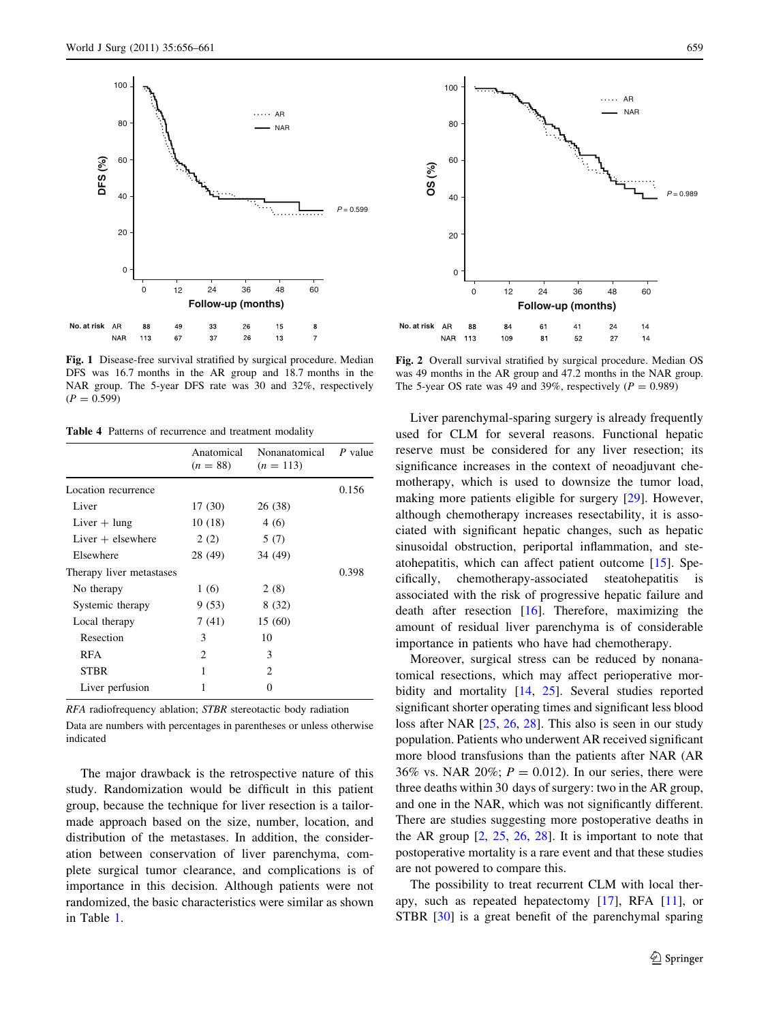<span id="page-3-0"></span>

Fig. 1 Disease-free survival stratified by surgical procedure. Median DFS was 16.7 months in the AR group and 18.7 months in the NAR group. The 5-year DFS rate was 30 and 32%, respectively  $(P = 0.599)$ 

Table 4 Patterns of recurrence and treatment modality

|                          | Anatomical<br>$(n = 88)$ | Nonanatomical<br>$(n = 113)$ | P value |
|--------------------------|--------------------------|------------------------------|---------|
| Location recurrence      |                          |                              | 0.156   |
| Liver                    | 17(30)                   | 26 (38)                      |         |
| Liver $+$ lung           | 10(18)                   | 4(6)                         |         |
| Liver $+$ elsewhere      | 2(2)                     | 5 (7)                        |         |
| Elsewhere                | 28 (49)                  | 34 (49)                      |         |
| Therapy liver metastases |                          |                              | 0.398   |
| No therapy               | 1(6)                     | 2(8)                         |         |
| Systemic therapy         | 9 (53)                   | 8 (32)                       |         |
| Local therapy            | 7 (41)                   | 15(60)                       |         |
| Resection                | 3                        | 10                           |         |
| <b>RFA</b>               | 2                        | 3                            |         |
| STBR                     | 1                        | 2                            |         |
| Liver perfusion          | 1                        | 0                            |         |
|                          |                          |                              |         |



Data are numbers with percentages in parentheses or unless otherwise indicated

The major drawback is the retrospective nature of this study. Randomization would be difficult in this patient group, because the technique for liver resection is a tailormade approach based on the size, number, location, and distribution of the metastases. In addition, the consideration between conservation of liver parenchyma, complete surgical tumor clearance, and complications is of importance in this decision. Although patients were not randomized, the basic characteristics were similar as shown in Table [1](#page-2-0).



Fig. 2 Overall survival stratified by surgical procedure. Median OS was 49 months in the AR group and 47.2 months in the NAR group. The 5-year OS rate was 49 and 39%, respectively  $(P = 0.989)$ 

Liver parenchymal-sparing surgery is already frequently used for CLM for several reasons. Functional hepatic reserve must be considered for any liver resection; its significance increases in the context of neoadjuvant chemotherapy, which is used to downsize the tumor load, making more patients eligible for surgery [[29\]](#page-5-0). However, although chemotherapy increases resectability, it is associated with significant hepatic changes, such as hepatic sinusoidal obstruction, periportal inflammation, and steatohepatitis, which can affect patient outcome [\[15](#page-5-0)]. Specifically, chemotherapy-associated steatohepatitis is associated with the risk of progressive hepatic failure and death after resection [\[16](#page-5-0)]. Therefore, maximizing the amount of residual liver parenchyma is of considerable importance in patients who have had chemotherapy.

Moreover, surgical stress can be reduced by nonanatomical resections, which may affect perioperative mor-bidity and mortality [[14,](#page-5-0) [25\]](#page-5-0). Several studies reported significant shorter operating times and significant less blood loss after NAR [[25,](#page-5-0) [26,](#page-5-0) [28](#page-5-0)]. This also is seen in our study population. Patients who underwent AR received significant more blood transfusions than the patients after NAR (AR 36% vs. NAR 20%;  $P = 0.012$ ). In our series, there were three deaths within 30 days of surgery: two in the AR group, and one in the NAR, which was not significantly different. There are studies suggesting more postoperative deaths in the AR group [\[2](#page-4-0), [25](#page-5-0), [26,](#page-5-0) [28\]](#page-5-0). It is important to note that postoperative mortality is a rare event and that these studies are not powered to compare this.

The possibility to treat recurrent CLM with local therapy, such as repeated hepatectomy [\[17](#page-5-0)], RFA [[11\]](#page-4-0), or STBR [\[30](#page-5-0)] is a great benefit of the parenchymal sparing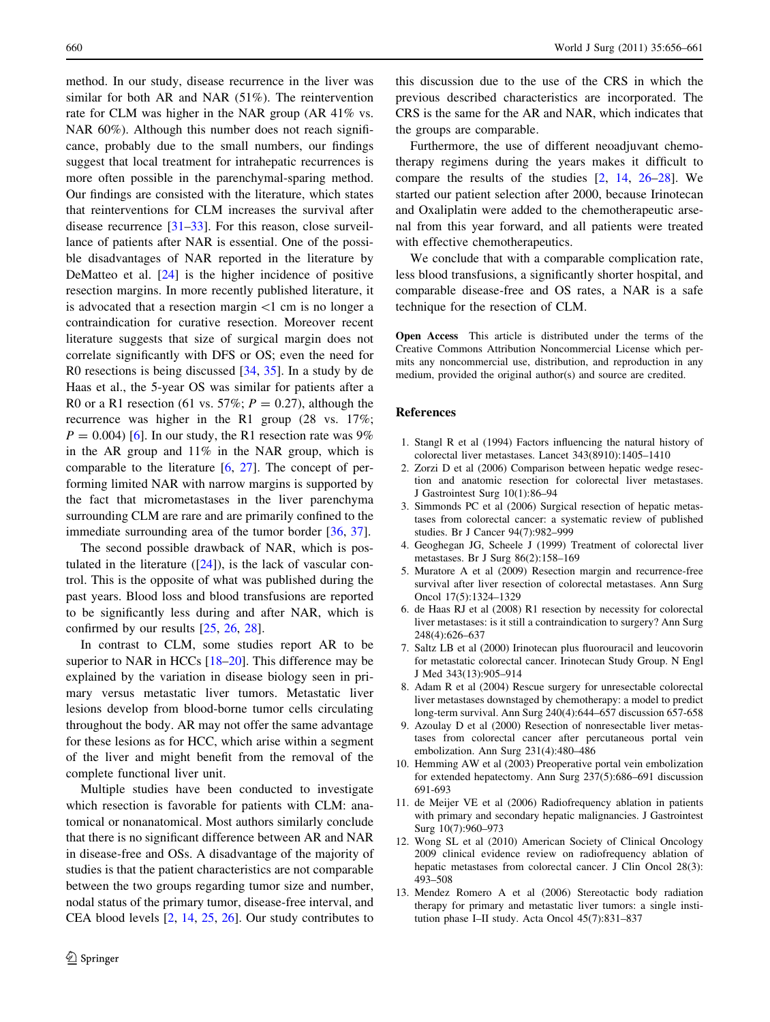<span id="page-4-0"></span>method. In our study, disease recurrence in the liver was similar for both AR and NAR (51%). The reintervention rate for CLM was higher in the NAR group (AR 41% vs. NAR 60%). Although this number does not reach significance, probably due to the small numbers, our findings suggest that local treatment for intrahepatic recurrences is more often possible in the parenchymal-sparing method. Our findings are consisted with the literature, which states that reinterventions for CLM increases the survival after disease recurrence  $[31-33]$ . For this reason, close surveillance of patients after NAR is essential. One of the possible disadvantages of NAR reported in the literature by DeMatteo et al. [\[24](#page-5-0)] is the higher incidence of positive resection margins. In more recently published literature, it is advocated that a resection margin  $\leq 1$  cm is no longer a contraindication for curative resection. Moreover recent literature suggests that size of surgical margin does not correlate significantly with DFS or OS; even the need for R0 resections is being discussed [[34,](#page-5-0) [35](#page-5-0)]. In a study by de Haas et al., the 5-year OS was similar for patients after a R0 or a R1 resection (61 vs. 57%;  $P = 0.27$ ), although the recurrence was higher in the R1 group (28 vs. 17%;  $P = 0.004$  [6]. In our study, the R1 resection rate was 9% in the AR group and 11% in the NAR group, which is comparable to the literature  $[6, 27]$  $[6, 27]$ . The concept of performing limited NAR with narrow margins is supported by the fact that micrometastases in the liver parenchyma surrounding CLM are rare and are primarily confined to the immediate surrounding area of the tumor border [[36,](#page-5-0) [37](#page-5-0)].

The second possible drawback of NAR, which is postulated in the literature  $([24])$  $([24])$  $([24])$ , is the lack of vascular control. This is the opposite of what was published during the past years. Blood loss and blood transfusions are reported to be significantly less during and after NAR, which is confirmed by our results [[25,](#page-5-0) [26](#page-5-0), [28](#page-5-0)].

In contrast to CLM, some studies report AR to be superior to NAR in HCCs [[18](#page-5-0)–[20\]](#page-5-0). This difference may be explained by the variation in disease biology seen in primary versus metastatic liver tumors. Metastatic liver lesions develop from blood-borne tumor cells circulating throughout the body. AR may not offer the same advantage for these lesions as for HCC, which arise within a segment of the liver and might benefit from the removal of the complete functional liver unit.

Multiple studies have been conducted to investigate which resection is favorable for patients with CLM: anatomical or nonanatomical. Most authors similarly conclude that there is no significant difference between AR and NAR in disease-free and OSs. A disadvantage of the majority of studies is that the patient characteristics are not comparable between the two groups regarding tumor size and number, nodal status of the primary tumor, disease-free interval, and CEA blood levels [2, [14](#page-5-0), [25,](#page-5-0) [26](#page-5-0)]. Our study contributes to

this discussion due to the use of the CRS in which the previous described characteristics are incorporated. The CRS is the same for the AR and NAR, which indicates that the groups are comparable.

Furthermore, the use of different neoadjuvant chemotherapy regimens during the years makes it difficult to compare the results of the studies [2, [14](#page-5-0), [26–28](#page-5-0)]. We started our patient selection after 2000, because Irinotecan and Oxaliplatin were added to the chemotherapeutic arsenal from this year forward, and all patients were treated with effective chemotherapeutics.

We conclude that with a comparable complication rate, less blood transfusions, a significantly shorter hospital, and comparable disease-free and OS rates, a NAR is a safe technique for the resection of CLM.

Open Access This article is distributed under the terms of the Creative Commons Attribution Noncommercial License which permits any noncommercial use, distribution, and reproduction in any medium, provided the original author(s) and source are credited.

#### References

- 1. Stangl R et al (1994) Factors influencing the natural history of colorectal liver metastases. Lancet 343(8910):1405–1410
- 2. Zorzi D et al (2006) Comparison between hepatic wedge resection and anatomic resection for colorectal liver metastases. J Gastrointest Surg 10(1):86–94
- 3. Simmonds PC et al (2006) Surgical resection of hepatic metastases from colorectal cancer: a systematic review of published studies. Br J Cancer 94(7):982–999
- 4. Geoghegan JG, Scheele J (1999) Treatment of colorectal liver metastases. Br J Surg 86(2):158–169
- 5. Muratore A et al (2009) Resection margin and recurrence-free survival after liver resection of colorectal metastases. Ann Surg Oncol 17(5):1324–1329
- 6. de Haas RJ et al (2008) R1 resection by necessity for colorectal liver metastases: is it still a contraindication to surgery? Ann Surg 248(4):626–637
- 7. Saltz LB et al (2000) Irinotecan plus fluorouracil and leucovorin for metastatic colorectal cancer. Irinotecan Study Group. N Engl J Med 343(13):905–914
- 8. Adam R et al (2004) Rescue surgery for unresectable colorectal liver metastases downstaged by chemotherapy: a model to predict long-term survival. Ann Surg 240(4):644–657 discussion 657-658
- 9. Azoulay D et al (2000) Resection of nonresectable liver metastases from colorectal cancer after percutaneous portal vein embolization. Ann Surg 231(4):480–486
- 10. Hemming AW et al (2003) Preoperative portal vein embolization for extended hepatectomy. Ann Surg 237(5):686–691 discussion 691-693
- 11. de Meijer VE et al (2006) Radiofrequency ablation in patients with primary and secondary hepatic malignancies. J Gastrointest Surg 10(7):960–973
- 12. Wong SL et al (2010) American Society of Clinical Oncology 2009 clinical evidence review on radiofrequency ablation of hepatic metastases from colorectal cancer. J Clin Oncol 28(3): 493–508
- 13. Mendez Romero A et al (2006) Stereotactic body radiation therapy for primary and metastatic liver tumors: a single institution phase I–II study. Acta Oncol 45(7):831–837